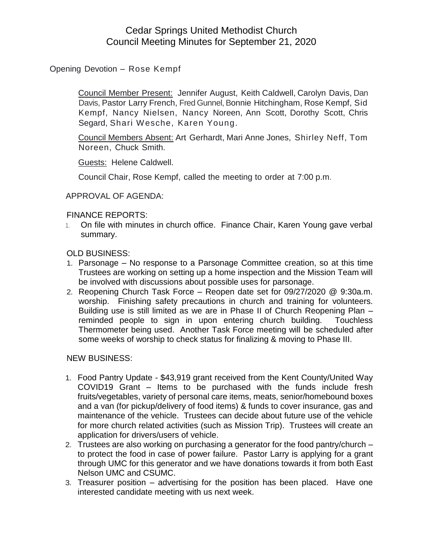## Cedar Springs United Methodist Church Council Meeting Minutes for September 21, 2020

Opening Devotion – Rose Kempf

Council Member Present: Jennifer August, Keith Caldwell, Carolyn Davis, Dan Davis, Pastor Larry French, Fred Gunnel, Bonnie Hitchingham, Rose Kempf, Sid Kempf, Nancy Nielsen, Nancy Noreen, Ann Scott, Dorothy Scott, Chris Segard, Shari Wesche, Karen Young.

Council Members Absent: Art Gerhardt, Mari Anne Jones, Shirley Neff, Tom Noreen, Chuck Smith.

Guests: Helene Caldwell.

Council Chair, Rose Kempf, called the meeting to order at 7:00 p.m.

APPROVAL OF AGENDA:

## FINANCE REPORTS:

1. On file with minutes in church office. Finance Chair, Karen Young gave verbal summary.

OLD BUSINESS:

- 1. Parsonage No response to a Parsonage Committee creation, so at this time Trustees are working on setting up a home inspection and the Mission Team will be involved with discussions about possible uses for parsonage.
- 2. Reopening Church Task Force Reopen date set for 09/27/2020 @ 9:30a.m. worship. Finishing safety precautions in church and training for volunteers. Building use is still limited as we are in Phase II of Church Reopening Plan – reminded people to sign in upon entering church building. Touchless Thermometer being used. Another Task Force meeting will be scheduled after some weeks of worship to check status for finalizing & moving to Phase III.

## NEW BUSINESS:

- 1. Food Pantry Update \$43,919 grant received from the Kent County/United Way COVID19 Grant – Items to be purchased with the funds include fresh fruits/vegetables, variety of personal care items, meats, senior/homebound boxes and a van (for pickup/delivery of food items) & funds to cover insurance, gas and maintenance of the vehicle. Trustees can decide about future use of the vehicle for more church related activities (such as Mission Trip). Trustees will create an application for drivers/users of vehicle.
- 2. Trustees are also working on purchasing a generator for the food pantry/church to protect the food in case of power failure. Pastor Larry is applying for a grant through UMC for this generator and we have donations towards it from both East Nelson UMC and CSUMC.
- 3. Treasurer position advertising for the position has been placed. Have one interested candidate meeting with us next week.